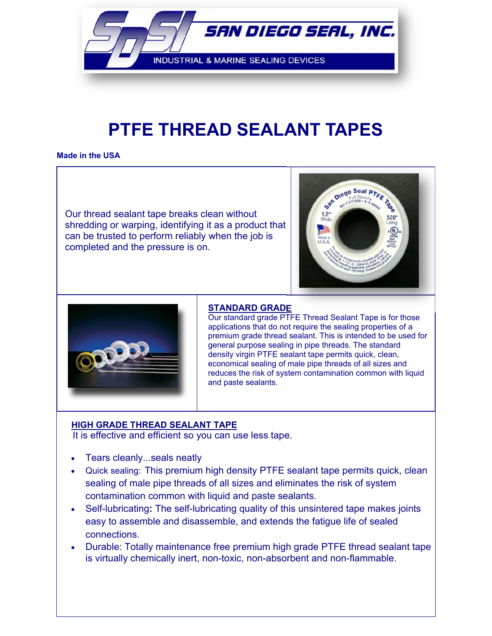

# **PTFE THREAD SEALANT TAPES**

**Made in the USA** 

Our thread sealant tape breaks clean without shredding or warping, identifying it as a product that can be trusted to perform reliably when the job is completed and the pressure is on.





#### **STANDARD GRADE**

Our standard grade PTFE Thread Sealant Tape is for those applications that do not require the sealing properties of a premium grade thread sealant. This is intended to be used for general purpose sealing in pipe threads. The standard density virgin PTFE sealant tape permits quick, clean, economical sealing of male pipe threads of all sizes and reduces the risk of system contamination common with liquid and paste sealants.

#### **HIGH GRADE THREAD SEALANT TAPE**

It is effective and efficient so you can use less tape.

- Tears cleanly...seals neatly
- Quick sealing: This premium high density PTFE sealant tape permits quick, clean sealing of male pipe threads of all sizes and eliminates the risk of system contamination common with liquid and paste sealants.
- Self-lubricating**:** The self-lubricating quality of this unsintered tape makes joints easy to assemble and disassemble, and extends the fatigue life of sealed connections.
- Durable: Totally maintenance free premium high grade PTFE thread sealant tape is virtually chemically inert, non-toxic, non-absorbent and non-flammable.